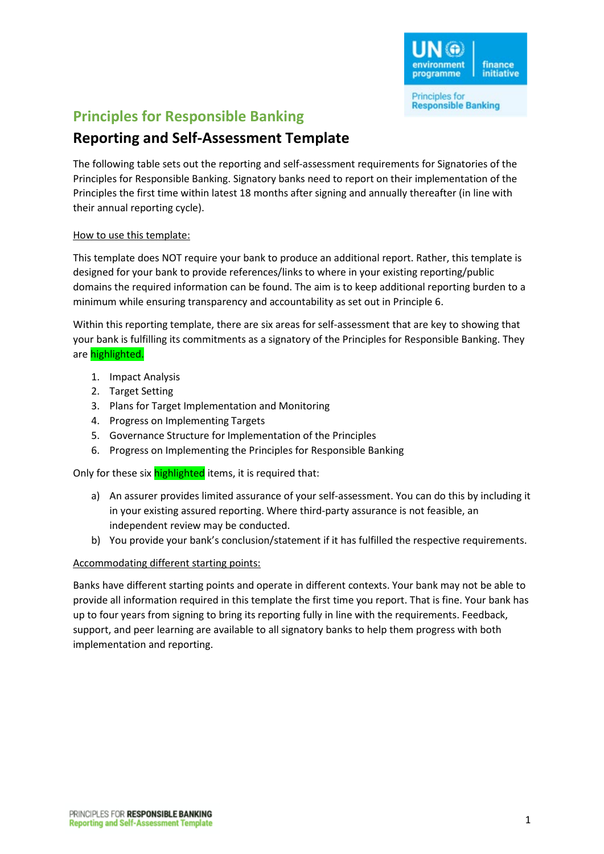

# **Principles for Responsible Banking**

## **Reporting and Self-Assessment Template**

The following table sets out the reporting and self-assessment requirements for Signatories of the Principles for Responsible Banking. Signatory banks need to report on their implementation of the Principles the first time within latest 18 months after signing and annually thereafter (in line with their annual reporting cycle).

## How to use this template:

This template does NOT require your bank to produce an additional report. Rather, this template is designed for your bank to provide references/links to where in your existing reporting/public domains the required information can be found. The aim is to keep additional reporting burden to a minimum while ensuring transparency and accountability as set out in Principle 6.

Within this reporting template, there are six areas for self-assessment that are key to showing that your bank is fulfilling its commitments as a signatory of the Principles for Responsible Banking. They are highlighted.

- 1. Impact Analysis
- 2. Target Setting
- 3. Plans for Target Implementation and Monitoring
- 4. Progress on Implementing Targets
- 5. Governance Structure for Implementation of the Principles
- 6. Progress on Implementing the Principles for Responsible Banking

Only for these six **highlighted** items, it is required that:

- a) An assurer provides limited assurance of your self-assessment. You can do this by including it in your existing assured reporting. Where third-party assurance is not feasible, an independent review may be conducted.
- b) You provide your bank's conclusion/statement if it has fulfilled the respective requirements.

## Accommodating different starting points:

Banks have different starting points and operate in different contexts. Your bank may not be able to provide all information required in this template the first time you report. That is fine. Your bank has up to four years from signing to bring its reporting fully in line with the requirements. Feedback, support, and peer learning are available to all signatory banks to help them progress with both implementation and reporting.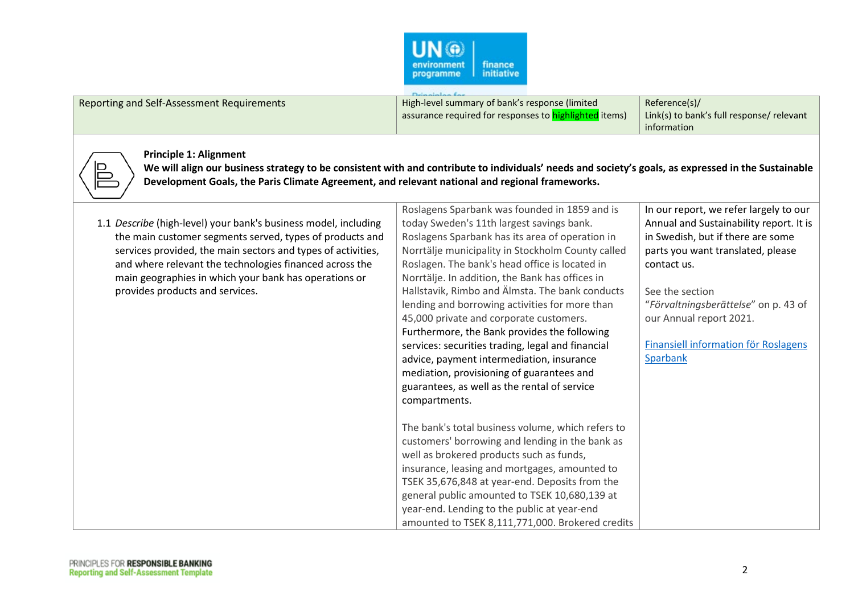

|                                            | Deinainlan far                                         |                                           |
|--------------------------------------------|--------------------------------------------------------|-------------------------------------------|
| Reporting and Self-Assessment Requirements | High-level summary of bank's response (limited         | Reference(s)/                             |
|                                            | assurance required for responses to highlighted items) | Link(s) to bank's full response/ relevant |
|                                            |                                                        | information                               |



#### **Principle 1: Alignment**

**We will align our business strategy to be consistent with and contribute to individuals' needs and society's goals, as expressed in the Sustainable Development Goals, the Paris Climate Agreement, and relevant national and regional frameworks.**

| 1.1 Describe (high-level) your bank's business model, including<br>the main customer segments served, types of products and | Roslagens Sparbank was founded in 1859 and is<br>today Sweden's 11th largest savings bank.<br>Roslagens Sparbank has its area of operation in | In our report, we refer largely to our<br>Annual and Sustainability report. It is<br>in Swedish, but if there are some |
|-----------------------------------------------------------------------------------------------------------------------------|-----------------------------------------------------------------------------------------------------------------------------------------------|------------------------------------------------------------------------------------------------------------------------|
| services provided, the main sectors and types of activities,                                                                | Norrtälje municipality in Stockholm County called                                                                                             | parts you want translated, please                                                                                      |
| and where relevant the technologies financed across the                                                                     | Roslagen. The bank's head office is located in                                                                                                | contact us.                                                                                                            |
| main geographies in which your bank has operations or                                                                       | Norrtälje. In addition, the Bank has offices in                                                                                               |                                                                                                                        |
| provides products and services.                                                                                             | Hallstavik, Rimbo and Älmsta. The bank conducts                                                                                               | See the section                                                                                                        |
|                                                                                                                             | lending and borrowing activities for more than                                                                                                | "Förvaltningsberättelse" on p. 43 of                                                                                   |
|                                                                                                                             | 45,000 private and corporate customers.                                                                                                       | our Annual report 2021.                                                                                                |
|                                                                                                                             | Furthermore, the Bank provides the following                                                                                                  |                                                                                                                        |
|                                                                                                                             | services: securities trading, legal and financial                                                                                             | <b>Finansiell information för Roslagens</b>                                                                            |
|                                                                                                                             | advice, payment intermediation, insurance                                                                                                     | Sparbank                                                                                                               |
|                                                                                                                             | mediation, provisioning of guarantees and                                                                                                     |                                                                                                                        |
|                                                                                                                             | guarantees, as well as the rental of service                                                                                                  |                                                                                                                        |
|                                                                                                                             | compartments.                                                                                                                                 |                                                                                                                        |
|                                                                                                                             |                                                                                                                                               |                                                                                                                        |
|                                                                                                                             | The bank's total business volume, which refers to                                                                                             |                                                                                                                        |
|                                                                                                                             | customers' borrowing and lending in the bank as                                                                                               |                                                                                                                        |
|                                                                                                                             | well as brokered products such as funds,                                                                                                      |                                                                                                                        |
|                                                                                                                             | insurance, leasing and mortgages, amounted to                                                                                                 |                                                                                                                        |
|                                                                                                                             | TSEK 35,676,848 at year-end. Deposits from the                                                                                                |                                                                                                                        |
|                                                                                                                             | general public amounted to TSEK 10,680,139 at                                                                                                 |                                                                                                                        |
|                                                                                                                             | year-end. Lending to the public at year-end                                                                                                   |                                                                                                                        |
|                                                                                                                             | amounted to TSEK 8,111,771,000. Brokered credits                                                                                              |                                                                                                                        |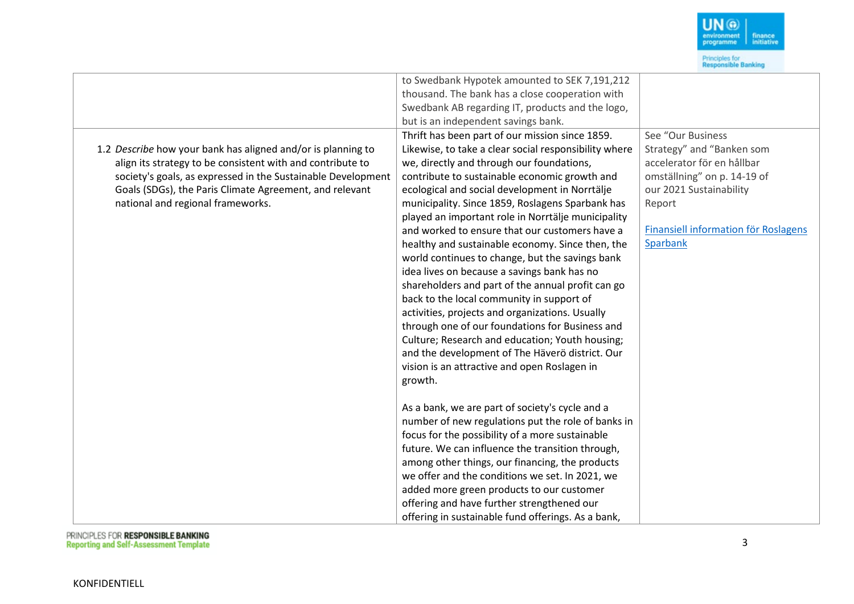

|                                                              | to Swedbank Hypotek amounted to SEK 7,191,212         |                                      |
|--------------------------------------------------------------|-------------------------------------------------------|--------------------------------------|
|                                                              | thousand. The bank has a close cooperation with       |                                      |
|                                                              | Swedbank AB regarding IT, products and the logo,      |                                      |
|                                                              | but is an independent savings bank.                   |                                      |
|                                                              | Thrift has been part of our mission since 1859.       | See "Our Business                    |
| 1.2 Describe how your bank has aligned and/or is planning to | Likewise, to take a clear social responsibility where | Strategy" and "Banken som            |
| align its strategy to be consistent with and contribute to   | we, directly and through our foundations,             | accelerator för en hållbar           |
| society's goals, as expressed in the Sustainable Development | contribute to sustainable economic growth and         | omställning" on p. 14-19 of          |
| Goals (SDGs), the Paris Climate Agreement, and relevant      | ecological and social development in Norrtälje        | our 2021 Sustainability              |
| national and regional frameworks.                            | municipality. Since 1859, Roslagens Sparbank has      | Report                               |
|                                                              | played an important role in Norrtälje municipality    |                                      |
|                                                              | and worked to ensure that our customers have a        | Finansiell information för Roslagens |
|                                                              | healthy and sustainable economy. Since then, the      | Sparbank                             |
|                                                              | world continues to change, but the savings bank       |                                      |
|                                                              | idea lives on because a savings bank has no           |                                      |
|                                                              | shareholders and part of the annual profit can go     |                                      |
|                                                              | back to the local community in support of             |                                      |
|                                                              | activities, projects and organizations. Usually       |                                      |
|                                                              | through one of our foundations for Business and       |                                      |
|                                                              | Culture; Research and education; Youth housing;       |                                      |
|                                                              | and the development of The Häverö district. Our       |                                      |
|                                                              | vision is an attractive and open Roslagen in          |                                      |
|                                                              | growth.                                               |                                      |
|                                                              |                                                       |                                      |
|                                                              | As a bank, we are part of society's cycle and a       |                                      |
|                                                              | number of new regulations put the role of banks in    |                                      |
|                                                              | focus for the possibility of a more sustainable       |                                      |
|                                                              | future. We can influence the transition through,      |                                      |
|                                                              | among other things, our financing, the products       |                                      |
|                                                              | we offer and the conditions we set. In 2021, we       |                                      |
|                                                              | added more green products to our customer             |                                      |
|                                                              | offering and have further strengthened our            |                                      |
|                                                              | offering in sustainable fund offerings. As a bank,    |                                      |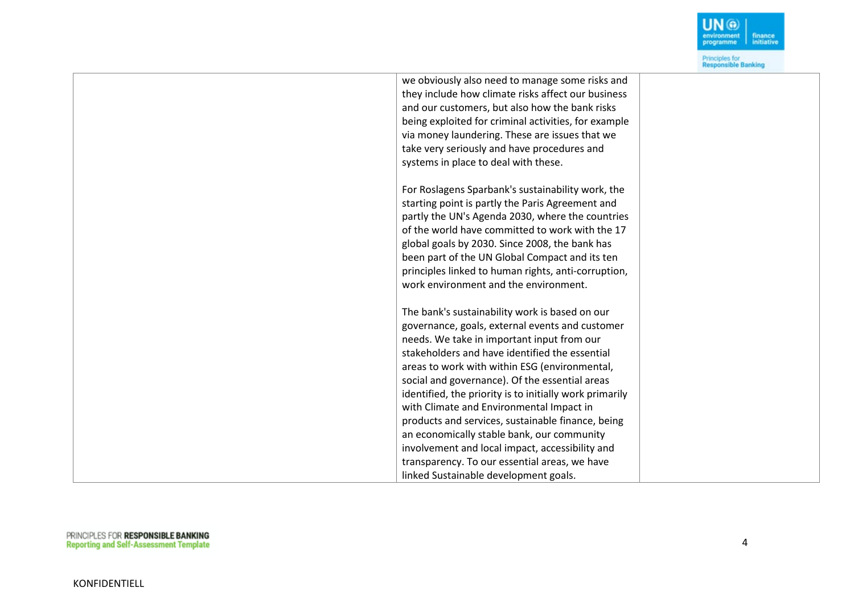| we obviously also need to manage some risks and         |  |
|---------------------------------------------------------|--|
| they include how climate risks affect our business      |  |
| and our customers, but also how the bank risks          |  |
| being exploited for criminal activities, for example    |  |
| via money laundering. These are issues that we          |  |
| take very seriously and have procedures and             |  |
| systems in place to deal with these.                    |  |
|                                                         |  |
| For Roslagens Sparbank's sustainability work, the       |  |
| starting point is partly the Paris Agreement and        |  |
| partly the UN's Agenda 2030, where the countries        |  |
| of the world have committed to work with the 17         |  |
| global goals by 2030. Since 2008, the bank has          |  |
| been part of the UN Global Compact and its ten          |  |
| principles linked to human rights, anti-corruption,     |  |
| work environment and the environment.                   |  |
|                                                         |  |
| The bank's sustainability work is based on our          |  |
| governance, goals, external events and customer         |  |
| needs. We take in important input from our              |  |
| stakeholders and have identified the essential          |  |
| areas to work with within ESG (environmental,           |  |
| social and governance). Of the essential areas          |  |
| identified, the priority is to initially work primarily |  |
| with Climate and Environmental Impact in                |  |
| products and services, sustainable finance, being       |  |
| an economically stable bank, our community              |  |
| involvement and local impact, accessibility and         |  |
| transparency. To our essential areas, we have           |  |
| linked Sustainable development goals.                   |  |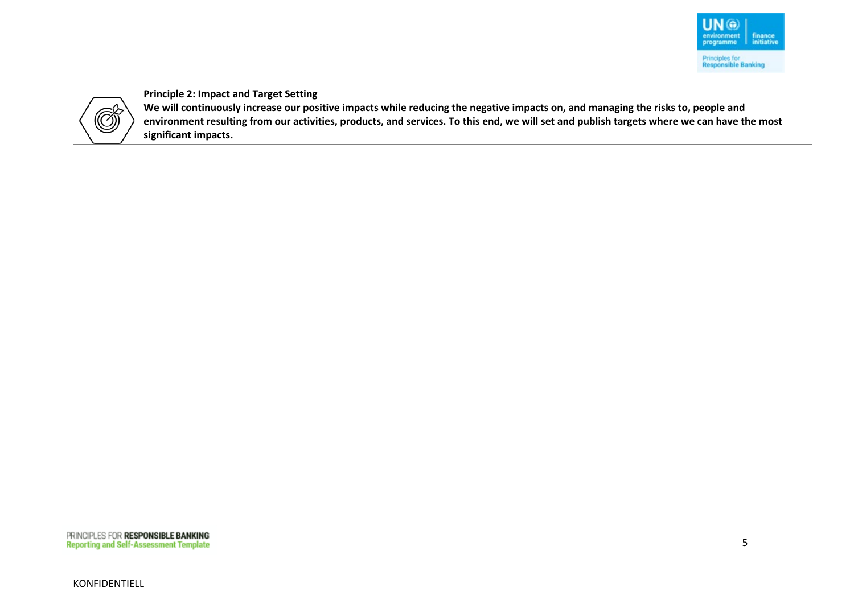

**Principle 2: Impact and Target Setting**

**We will continuously increase our positive impacts while reducing the negative impacts on, and managing the risks to, people and environment resulting from our activities, products, and services. To this end, we will set and publish targets where we can have the most significant impacts.**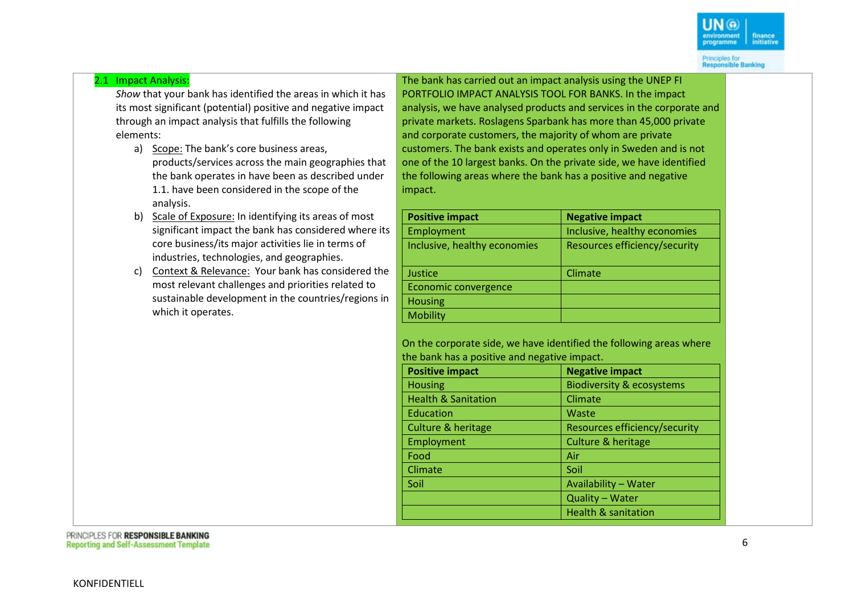#### 2.1 Impact Analysis:

*Show* that your bank has identified the areas in which it has its most significant (potential) positive and negative impact through an impact analysis that fulfills the following elements:

- a) Scope: The bank's core business areas, products/services across the main geographies that the bank operates in have been as described under 1.1. have been considered in the scope of the analysis.
- b) Scale of Exposure: In identifying its areas of most significant impact the bank has considered where its core business/its major activities lie in terms of industries, technologies, and geographies.
- c) Context & Relevance: Your bank has considered the most relevant challenges and priorities related to sustainable development in the countries/regions in which it operates.

The bank has carried out an impact analysis using the UNEP FI PORTFOLIO IMPACT ANALYSIS TOOL FOR BANKS. In the impact analysis, we have analysed products and services in the corporate and private markets. Roslagens Sparbank has more than 45,000 private and corporate customers, the majority of whom are private customers. The bank exists and operates only in Sweden and is not one of the 10 largest banks. On the private side, we have identified the following areas where the bank has a positive and negative impact.

| <b>Positive impact</b>       | <b>Negative impact</b>        |
|------------------------------|-------------------------------|
| Employment                   | Inclusive, healthy economies  |
| Inclusive, healthy economies | Resources efficiency/security |
| Justice                      | Climate                       |
| Economic convergence         |                               |
| <b>Housing</b>               |                               |
| <b>Mobility</b>              |                               |

On the corporate side, we have identified the following areas where the bank has a positive and negative impact.

| <b>Positive impact</b>         | <b>Negative impact</b>               |
|--------------------------------|--------------------------------------|
| <b>Housing</b>                 | <b>Biodiversity &amp; ecosystems</b> |
| <b>Health &amp; Sanitation</b> | Climate                              |
| Education                      | Waste                                |
| Culture & heritage             | Resources efficiency/security        |
| Employment                     | <b>Culture &amp; heritage</b>        |
| Food                           | Air                                  |
| Climate                        | Soil                                 |
| Soil                           | Availability - Water                 |
|                                | Quality - Water                      |
|                                | <b>Health &amp; sanitation</b>       |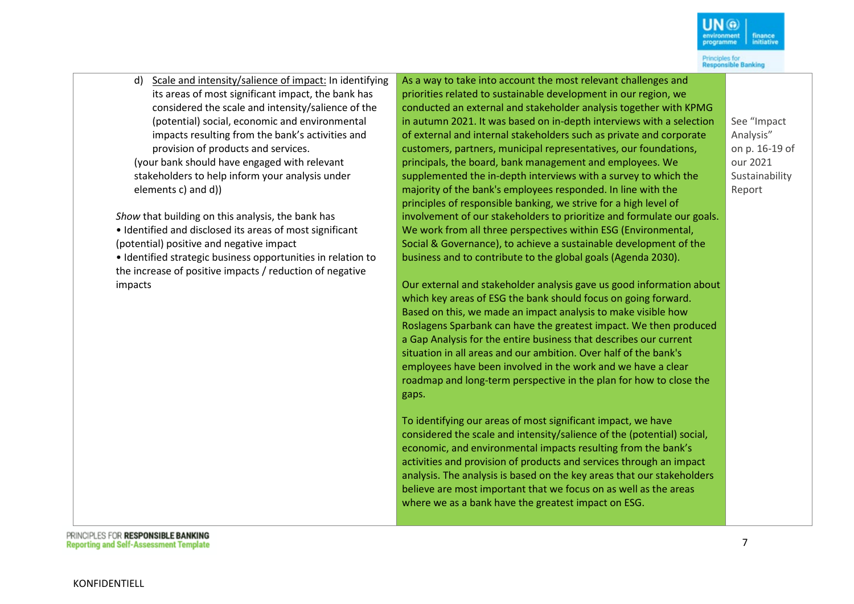

d) Scale and intensity/salience of impact: In identifying its areas of most significant impact, the bank has considered the scale and intensity/salience of the (potential) social, economic and environmental impacts resulting from the bank's activities and provision of products and services.

(your bank should have engaged with relevant stakeholders to help inform your analysis under elements c) and d))

*Show* that building on this analysis, the bank has

• Identified and disclosed its areas of most significant (potential) positive and negative impact

• Identified strategic business opportunities in relation to the increase of positive impacts / reduction of negative impacts

As a way to take into account the most relevant challenges and priorities related to sustainable development in our region, we conducted an external and stakeholder analysis together with KPMG in autumn 2021. It was based on in-depth interviews with a selection of external and internal stakeholders such as private and corporate customers, partners, municipal representatives, our foundations, principals, the board, bank management and employees. We supplemented the in-depth interviews with a survey to which the majority of the bank's employees responded. In line with the principles of responsible banking, we strive for a high level of involvement of our stakeholders to prioritize and formulate our goals. We work from all three perspectives within ESG (Environmental, Social & Governance), to achieve a sustainable development of the business and to contribute to the global goals (Agenda 2030).

Our external and stakeholder analysis gave us good information about which key areas of ESG the bank should focus on going forward. Based on this, we made an impact analysis to make visible how Roslagens Sparbank can have the greatest impact. We then produced a Gap Analysis for the entire business that describes our current situation in all areas and our ambition. Over half of the bank's employees have been involved in the work and we have a clear roadmap and long-term perspective in the plan for how to close the gaps.

To identifying our areas of most significant impact, we have considered the scale and intensity/salience of the (potential) social, economic, and environmental impacts resulting from the bank's activities and provision of products and services through an impact analysis. The analysis is based on the key areas that our stakeholders believe are most important that we focus on as well as the areas where we as a bank have the greatest impact on ESG.

See "Impact Analysis" on p. 16-19 of our 2021 Sustainability Report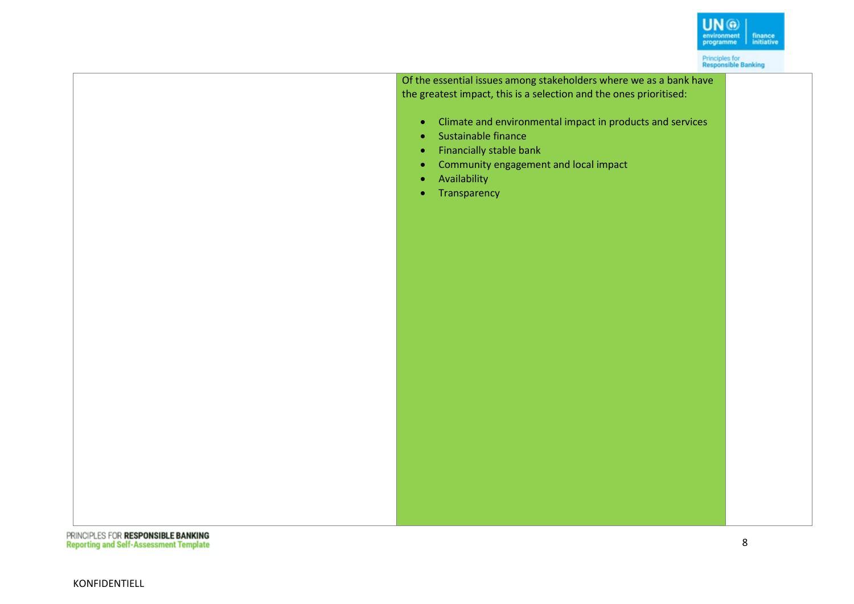Of the essential issues among stakeholders where we as a bank have the greatest impact, this is a selection and the ones prioritised:

- Climate and environmental impact in products and services
- Sustainable finance
- Financially stable bank
- Community engagement and local impact
- Availability
- Transparency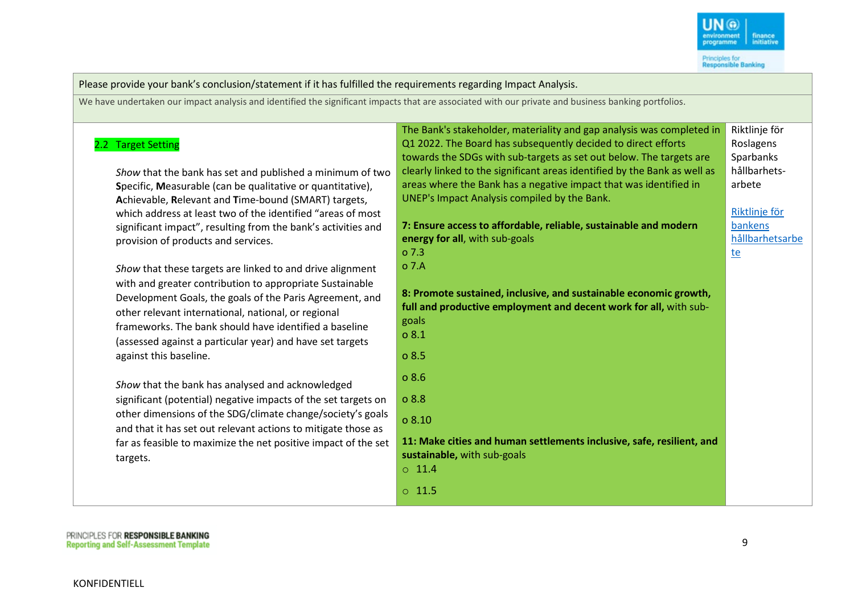

Please provide your bank's conclusion/statement if it has fulfilled the requirements regarding Impact Analysis. We have undertaken our impact analysis and identified the significant impacts that are associated with our private and business banking portfolios. 2.2 Target Setting *Show* that the bank has set and published a minimum of two **S**pecific, **M**easurable (can be qualitative or quantitative), **A**chievable, **R**elevant and **T**ime-bound (SMART) targets, which address at least two of the identified "areas of most significant impact", resulting from the bank's activities and provision of products and services. *Show* that these targets are linked to and drive alignment with and greater contribution to appropriate Sustainable Development Goals, the goals of the Paris Agreement, and other relevant international, national, or regional frameworks. The bank should have identified a baseline (assessed against a particular year) and have set targets against this baseline. *Show* that the bank has analysed and acknowledged significant (potential) negative impacts of the set targets on other dimensions of the SDG/climate change/society's goals and that it has set out relevant actions to mitigate those as far as feasible to maximize the net positive impact of the set targets. The Bank's stakeholder, materiality and gap analysis was completed in Q1 2022. The Board has subsequently decided to direct efforts towards the SDGs with sub-targets as set out below. The targets are clearly linked to the significant areas identified by the Bank as well as areas where the Bank has a negative impact that was identified in UNEP's Impact Analysis compiled by the Bank. **7: Ensure access to affordable, reliable, sustainable and modern energy for all**, with sub-goals o 7.3 o 7.A **8: Promote sustained, inclusive, and sustainable economic growth, full and productive employment and decent work for all,** with subgoals o 8.1 o 8.5 o 8.6 o 8.8 o 8.10 **11: Make cities and human settlements inclusive, safe, resilient, and sustainable,** with sub-goals  $\circ$  11.4 o 11.5 Riktlinje för Roslagens **Sparbanks** hållbarhetsarbete [Riktlinje för](https://www.roslagenssparbank.se/hallbarhetsamhallsnytta/regelverk-om-hallbarhet/riktlinje-hallbarhetsarbete.html)  [bankens](https://www.roslagenssparbank.se/hallbarhetsamhallsnytta/regelverk-om-hallbarhet/riktlinje-hallbarhetsarbete.html)  [hållbarhetsarbe](https://www.roslagenssparbank.se/hallbarhetsamhallsnytta/regelverk-om-hallbarhet/riktlinje-hallbarhetsarbete.html) [te](https://www.roslagenssparbank.se/hallbarhetsamhallsnytta/regelverk-om-hallbarhet/riktlinje-hallbarhetsarbete.html)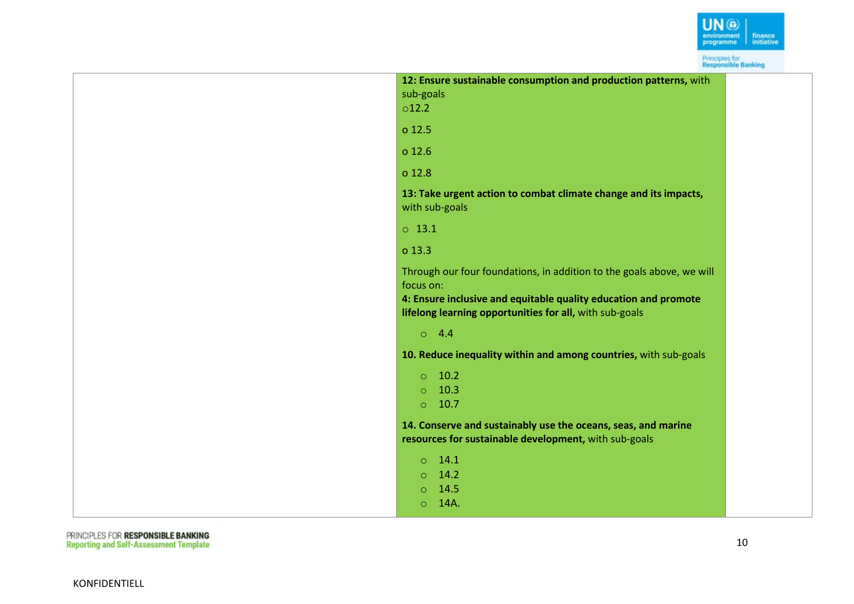

| 12: Ensure sustainable consumption and production patterns, with<br>sub-goals<br>$\circ$ 12.2                                                                                                                    |  |
|------------------------------------------------------------------------------------------------------------------------------------------------------------------------------------------------------------------|--|
| o 12.5                                                                                                                                                                                                           |  |
| o 12.6                                                                                                                                                                                                           |  |
| o 12.8                                                                                                                                                                                                           |  |
| 13: Take urgent action to combat climate change and its impacts,<br>with sub-goals                                                                                                                               |  |
| $0$ 13.1                                                                                                                                                                                                         |  |
| o 13.3                                                                                                                                                                                                           |  |
| Through our four foundations, in addition to the goals above, we will<br>focus on:<br>4: Ensure inclusive and equitable quality education and promote<br>lifelong learning opportunities for all, with sub-goals |  |
| 04.4                                                                                                                                                                                                             |  |
| 10. Reduce inequality within and among countries, with sub-goals                                                                                                                                                 |  |
| 10.2<br>$\circ$<br>10.3<br>$\circ$<br>10.7<br>$\circ$                                                                                                                                                            |  |
| 14. Conserve and sustainably use the oceans, seas, and marine<br>resources for sustainable development, with sub-goals                                                                                           |  |
| 14.1<br>$\circ$<br>14.2<br>$\circ$<br>14.5<br>$\circ$<br>14A.<br>$\circ$                                                                                                                                         |  |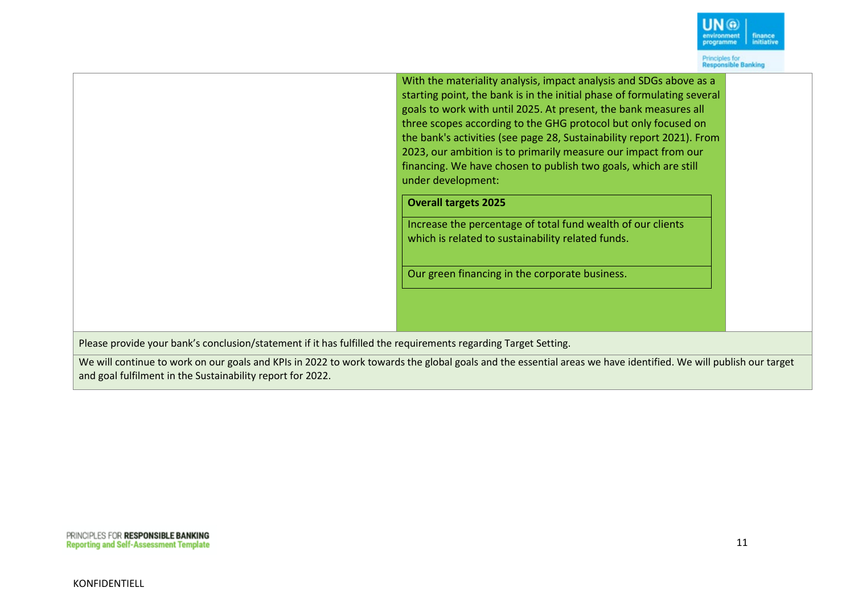With the materiality analysis, impact analysis and SDGs above as a starting point, the bank is in the initial phase of formulating several goals to work with until 2025. At present, the bank measures all three scopes according to the GHG protocol but only focused on the bank's activities (see page 28, Sustainability report 2021). From 2023, our ambition is to primarily measure our impact from our financing. We have chosen to publish two goals, which are still under development:

#### **Overall targets 2025**

Increase the percentage of total fund wealth of our clients which is related to sustainability related funds.

Our green financing in the corporate business.

Please provide your bank's conclusion/statement if it has fulfilled the requirements regarding Target Setting.

We will continue to work on our goals and KPIs in 2022 to work towards the global goals and the essential areas we have identified. We will publish our target and goal fulfilment in the Sustainability report for 2022.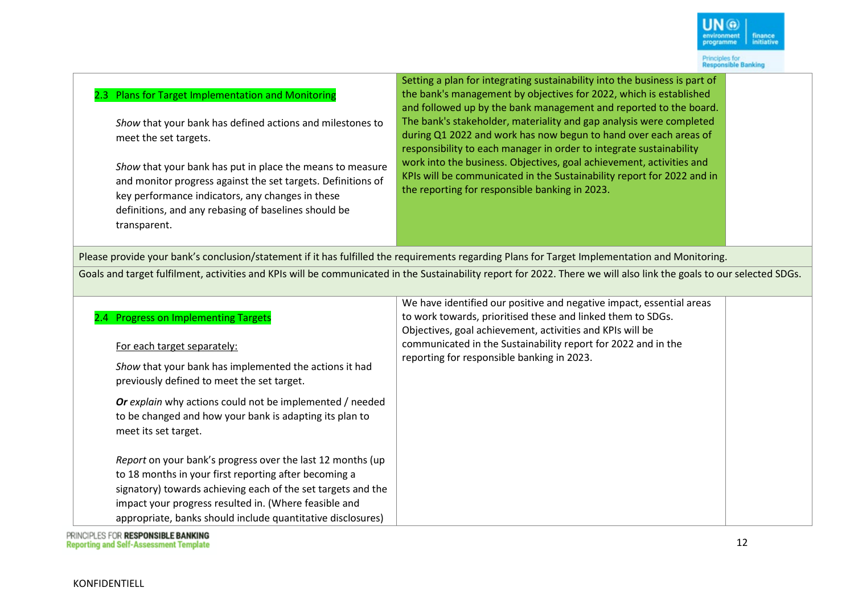#### 2.3 Plans for Target Implementation and Monitoring

*Show* that your bank has defined actions and milestones to meet the set targets.

*Show* that your bank has put in place the means to measure and monitor progress against the set targets. Definitions of key performance indicators, any changes in these definitions, and any rebasing of baselines should be transparent.

Setting a plan for integrating sustainability into the business is part of the bank's management by objectives for 2022, which is established and followed up by the bank management and reported to the board. The bank's stakeholder, materiality and gap analysis were completed during Q1 2022 and work has now begun to hand over each areas of responsibility to each manager in order to integrate sustainability work into the business. Objectives, goal achievement, activities and KPIs will be communicated in the Sustainability report for 2022 and in the reporting for responsible banking in 2023.

Please provide your bank's conclusion/statement if it has fulfilled the requirements regarding Plans for Target Implementation and Monitoring.

Goals and target fulfilment, activities and KPIs will be communicated in the Sustainability report for 2022. There we will also link the goals to our selected SDGs.

| 2.4 Progress on Implementing Targets                                                                                                        | We have identified our positive and negative impact, essential areas<br>to work towards, prioritised these and linked them to SDGs.<br>Objectives, goal achievement, activities and KPIs will be |  |
|---------------------------------------------------------------------------------------------------------------------------------------------|--------------------------------------------------------------------------------------------------------------------------------------------------------------------------------------------------|--|
| For each target separately:                                                                                                                 | communicated in the Sustainability report for 2022 and in the<br>reporting for responsible banking in 2023.                                                                                      |  |
| Show that your bank has implemented the actions it had<br>previously defined to meet the set target.                                        |                                                                                                                                                                                                  |  |
| Or explain why actions could not be implemented / needed<br>to be changed and how your bank is adapting its plan to<br>meet its set target. |                                                                                                                                                                                                  |  |
| Report on your bank's progress over the last 12 months (up                                                                                  |                                                                                                                                                                                                  |  |
| to 18 months in your first reporting after becoming a                                                                                       |                                                                                                                                                                                                  |  |
| signatory) towards achieving each of the set targets and the                                                                                |                                                                                                                                                                                                  |  |
| impact your progress resulted in. (Where feasible and                                                                                       |                                                                                                                                                                                                  |  |
| appropriate, banks should include quantitative disclosures)                                                                                 |                                                                                                                                                                                                  |  |

PRINCIPLES FOR RESPONSIBLE BANKING **Reporting and Self-Assessment Template**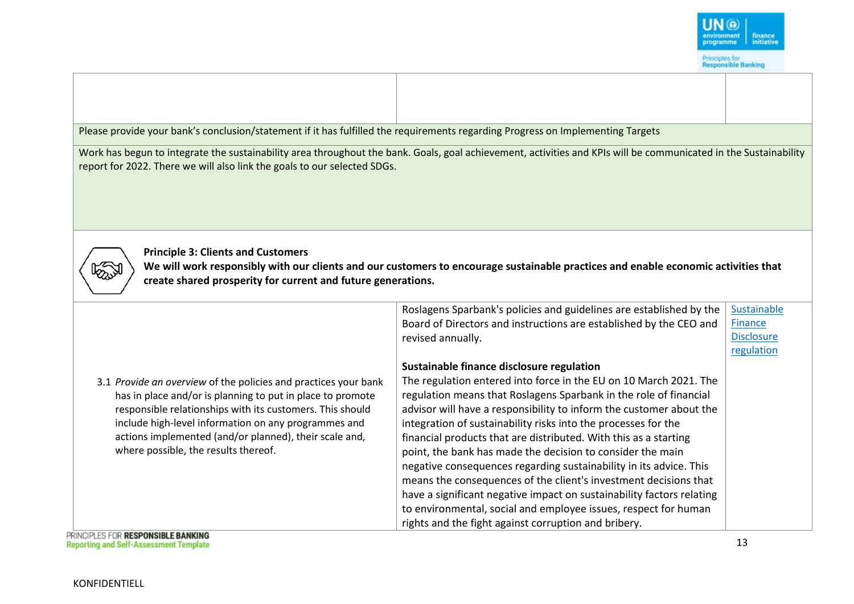

Please provide your bank's conclusion/statement if it has fulfilled the requirements regarding Progress on Implementing Targets Work has begun to integrate the sustainability area throughout the bank. Goals, goal achievement, activities and KPIs will be communicated in the Sustainability report for 2022. There we will also link the goals to our selected SDGs. **Principle 3: Clients and Customers We will work responsibly with our clients and our customers to encourage sustainable practices and enable economic activities that create shared prosperity for current and future generations.** Roslagens Sparbank's policies and guidelines are established by the [Sustainable](https://www.roslagenssparbank.se/hallbarhetsamhallsnytta/regelverk-om-hallbarhet/sustainable-finance-disclosure-regulation.html)  Board of Directors and instructions are established by the CEO and **Finance** [Disclosure](https://www.roslagenssparbank.se/hallbarhetsamhallsnytta/regelverk-om-hallbarhet/sustainable-finance-disclosure-regulation.html)  revised annually. [regulation](https://www.roslagenssparbank.se/hallbarhetsamhallsnytta/regelverk-om-hallbarhet/sustainable-finance-disclosure-regulation.html)**Sustainable finance disclosure regulation** The regulation entered into force in the EU on 10 March 2021. The 3.1 *Provide an overview* of the policies and practices your bank has in place and/or is planning to put in place to promote regulation means that Roslagens Sparbank in the role of financial responsible relationships with its customers. This should advisor will have a responsibility to inform the customer about the include high-level information on any programmes and integration of sustainability risks into the processes for the actions implemented (and/or planned), their scale and, financial products that are distributed. With this as a starting where possible, the results thereof. point, the bank has made the decision to consider the main negative consequences regarding sustainability in its advice. This means the consequences of the client's investment decisions that have a significant negative impact on sustainability factors relating to environmental, social and employee issues, respect for human rights and the fight against corruption and bribery. PRINCIPLES FOR RESPONSIBLE BANKING 13 **Reporting and Self-Assessment Template**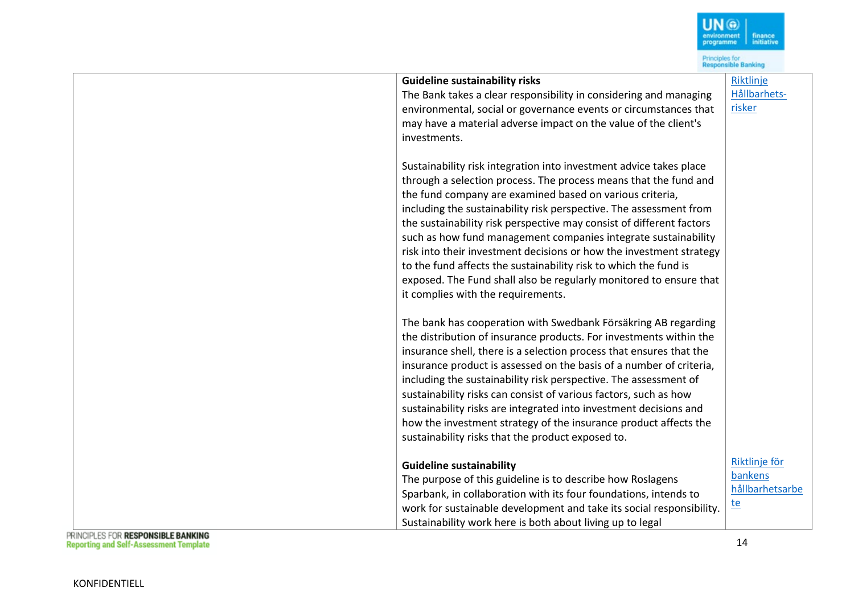|                                                                                                                                                                                                                                                                                                                                                                                                                                                                                                                                                                                                                                                                                                                                                                                                                                                                                          | Principles for<br>Responsible Banking |
|------------------------------------------------------------------------------------------------------------------------------------------------------------------------------------------------------------------------------------------------------------------------------------------------------------------------------------------------------------------------------------------------------------------------------------------------------------------------------------------------------------------------------------------------------------------------------------------------------------------------------------------------------------------------------------------------------------------------------------------------------------------------------------------------------------------------------------------------------------------------------------------|---------------------------------------|
| <b>Guideline sustainability risks</b>                                                                                                                                                                                                                                                                                                                                                                                                                                                                                                                                                                                                                                                                                                                                                                                                                                                    | Riktlinje<br>Hållbarhets-             |
| The Bank takes a clear responsibility in considering and managing<br>environmental, social or governance events or circumstances that                                                                                                                                                                                                                                                                                                                                                                                                                                                                                                                                                                                                                                                                                                                                                    | risker                                |
| may have a material adverse impact on the value of the client's                                                                                                                                                                                                                                                                                                                                                                                                                                                                                                                                                                                                                                                                                                                                                                                                                          |                                       |
| investments.                                                                                                                                                                                                                                                                                                                                                                                                                                                                                                                                                                                                                                                                                                                                                                                                                                                                             |                                       |
| Sustainability risk integration into investment advice takes place<br>through a selection process. The process means that the fund and<br>the fund company are examined based on various criteria,<br>including the sustainability risk perspective. The assessment from<br>the sustainability risk perspective may consist of different factors<br>such as how fund management companies integrate sustainability<br>risk into their investment decisions or how the investment strategy<br>to the fund affects the sustainability risk to which the fund is<br>exposed. The Fund shall also be regularly monitored to ensure that<br>it complies with the requirements.<br>The bank has cooperation with Swedbank Försäkring AB regarding<br>the distribution of insurance products. For investments within the<br>insurance shell, there is a selection process that ensures that the |                                       |
| insurance product is assessed on the basis of a number of criteria,                                                                                                                                                                                                                                                                                                                                                                                                                                                                                                                                                                                                                                                                                                                                                                                                                      |                                       |
| including the sustainability risk perspective. The assessment of                                                                                                                                                                                                                                                                                                                                                                                                                                                                                                                                                                                                                                                                                                                                                                                                                         |                                       |
| sustainability risks can consist of various factors, such as how<br>sustainability risks are integrated into investment decisions and                                                                                                                                                                                                                                                                                                                                                                                                                                                                                                                                                                                                                                                                                                                                                    |                                       |
| how the investment strategy of the insurance product affects the                                                                                                                                                                                                                                                                                                                                                                                                                                                                                                                                                                                                                                                                                                                                                                                                                         |                                       |
| sustainability risks that the product exposed to.                                                                                                                                                                                                                                                                                                                                                                                                                                                                                                                                                                                                                                                                                                                                                                                                                                        |                                       |
| <b>Guideline sustainability</b><br>The purpose of this guideline is to describe how Roslagens                                                                                                                                                                                                                                                                                                                                                                                                                                                                                                                                                                                                                                                                                                                                                                                            | Riktlinje för<br>bankens              |
| Sparbank, in collaboration with its four foundations, intends to                                                                                                                                                                                                                                                                                                                                                                                                                                                                                                                                                                                                                                                                                                                                                                                                                         | hållbarhetsarbe                       |
| work for sustainable development and take its social responsibility.                                                                                                                                                                                                                                                                                                                                                                                                                                                                                                                                                                                                                                                                                                                                                                                                                     | <u>te</u>                             |
| Sustainability work here is both about living up to legal<br><b>UNIVERSITY BEARANAIRE E BANKING</b>                                                                                                                                                                                                                                                                                                                                                                                                                                                                                                                                                                                                                                                                                                                                                                                      |                                       |

 $\begin{array}{|c|c|}\hline \textbf{UN @} \\ \hline \textbf{environment} & \textbf{finance} \\ \textbf{programme} & \textbf{inititative} \\ \hline \end{array}$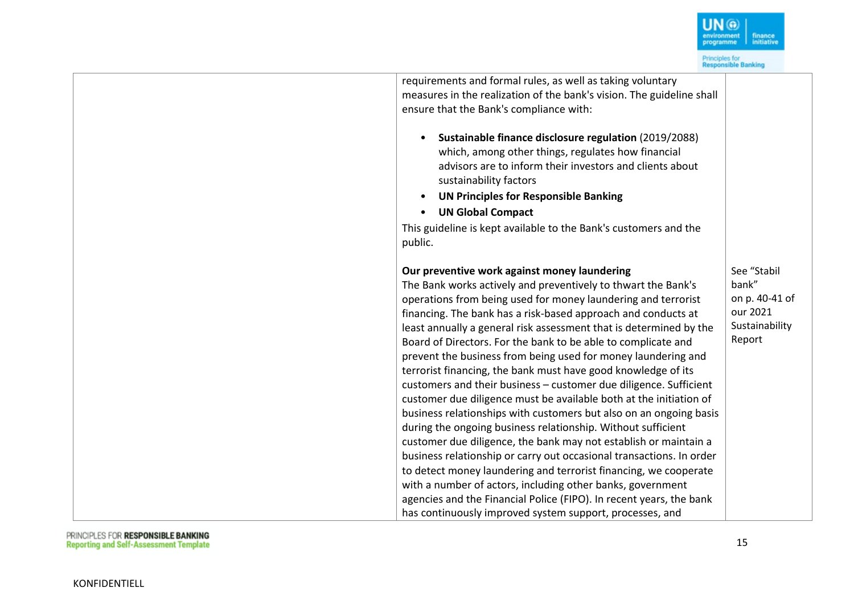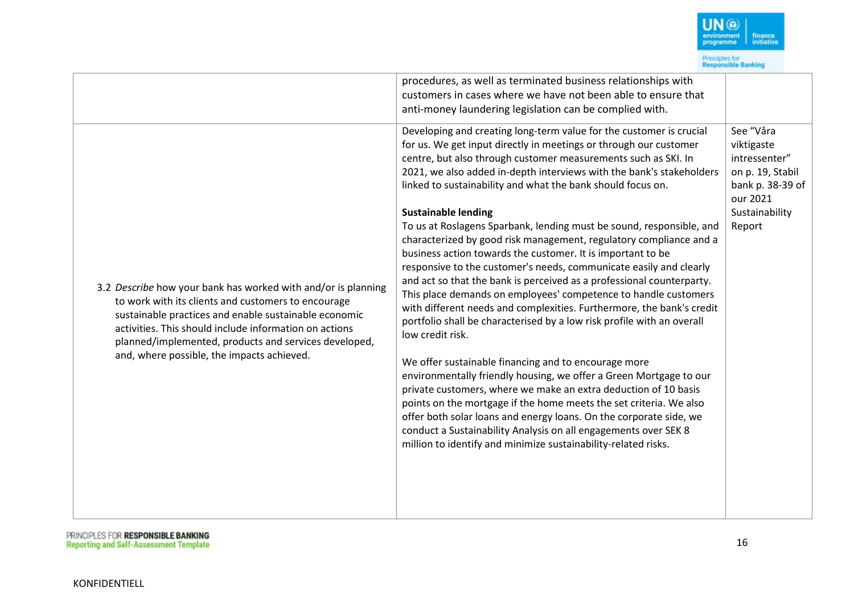

 $IN$  $\omega$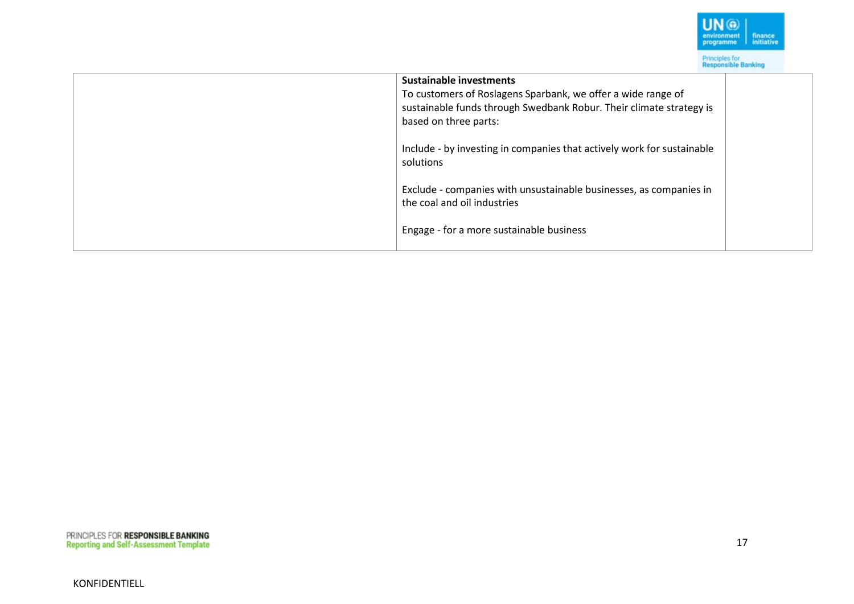

| <b>Sustainable investments</b><br>To customers of Roslagens Sparbank, we offer a wide range of<br>sustainable funds through Swedbank Robur. Their climate strategy is<br>based on three parts: |  |
|------------------------------------------------------------------------------------------------------------------------------------------------------------------------------------------------|--|
| Include - by investing in companies that actively work for sustainable<br>solutions                                                                                                            |  |
| Exclude - companies with unsustainable businesses, as companies in<br>the coal and oil industries                                                                                              |  |
| Engage - for a more sustainable business                                                                                                                                                       |  |

17

KONFIDENTIELL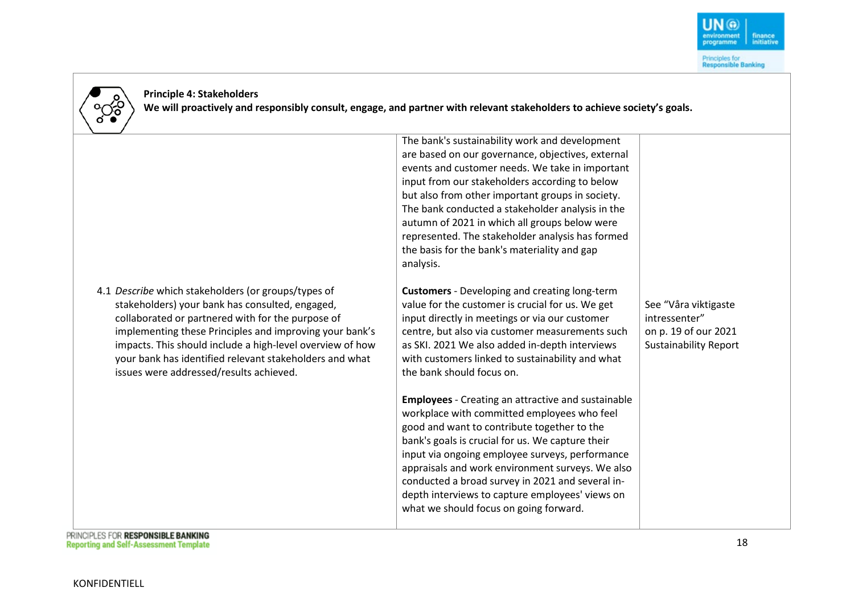



**Principle 4: Stakeholders We will proactively and responsibly consult, engage, and partner with relevant stakeholders to achieve society's goals.**

|                                                                                                                                                                                                                                                                                                                                                                                           | The bank's sustainability work and development<br>are based on our governance, objectives, external<br>events and customer needs. We take in important<br>input from our stakeholders according to below<br>but also from other important groups in society.<br>The bank conducted a stakeholder analysis in the<br>autumn of 2021 in which all groups below were<br>represented. The stakeholder analysis has formed<br>the basis for the bank's materiality and gap<br>analysis. |                                                                                               |
|-------------------------------------------------------------------------------------------------------------------------------------------------------------------------------------------------------------------------------------------------------------------------------------------------------------------------------------------------------------------------------------------|------------------------------------------------------------------------------------------------------------------------------------------------------------------------------------------------------------------------------------------------------------------------------------------------------------------------------------------------------------------------------------------------------------------------------------------------------------------------------------|-----------------------------------------------------------------------------------------------|
| 4.1 Describe which stakeholders (or groups/types of<br>stakeholders) your bank has consulted, engaged,<br>collaborated or partnered with for the purpose of<br>implementing these Principles and improving your bank's<br>impacts. This should include a high-level overview of how<br>your bank has identified relevant stakeholders and what<br>issues were addressed/results achieved. | <b>Customers</b> - Developing and creating long-term<br>value for the customer is crucial for us. We get<br>input directly in meetings or via our customer<br>centre, but also via customer measurements such<br>as SKI. 2021 We also added in-depth interviews<br>with customers linked to sustainability and what<br>the bank should focus on.                                                                                                                                   | See "Våra viktigaste<br>intressenter"<br>on p. 19 of our 2021<br><b>Sustainability Report</b> |
|                                                                                                                                                                                                                                                                                                                                                                                           | <b>Employees</b> - Creating an attractive and sustainable<br>workplace with committed employees who feel<br>good and want to contribute together to the<br>bank's goals is crucial for us. We capture their<br>input via ongoing employee surveys, performance<br>appraisals and work environment surveys. We also<br>conducted a broad survey in 2021 and several in-<br>depth interviews to capture employees' views on<br>what we should focus on going forward.                |                                                                                               |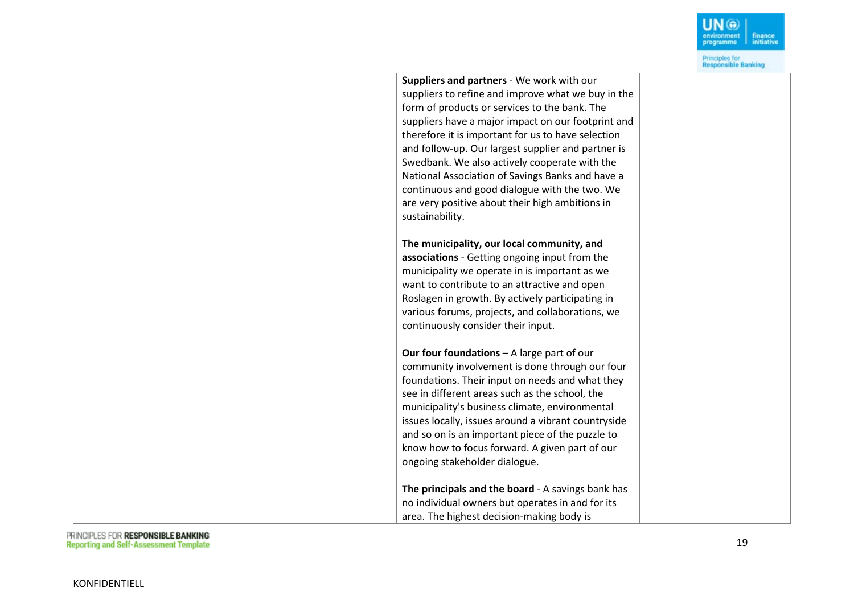

| Suppliers and partners - We work with our                                                            |  |
|------------------------------------------------------------------------------------------------------|--|
| suppliers to refine and improve what we buy in the                                                   |  |
| form of products or services to the bank. The                                                        |  |
| suppliers have a major impact on our footprint and                                                   |  |
| therefore it is important for us to have selection                                                   |  |
| and follow-up. Our largest supplier and partner is                                                   |  |
| Swedbank. We also actively cooperate with the                                                        |  |
| National Association of Savings Banks and have a                                                     |  |
| continuous and good dialogue with the two. We                                                        |  |
| are very positive about their high ambitions in                                                      |  |
| sustainability.                                                                                      |  |
|                                                                                                      |  |
| The municipality, our local community, and                                                           |  |
| associations - Getting ongoing input from the                                                        |  |
| municipality we operate in is important as we                                                        |  |
| want to contribute to an attractive and open                                                         |  |
| Roslagen in growth. By actively participating in<br>various forums, projects, and collaborations, we |  |
| continuously consider their input.                                                                   |  |
|                                                                                                      |  |
| Our four foundations - A large part of our                                                           |  |
| community involvement is done through our four                                                       |  |
| foundations. Their input on needs and what they                                                      |  |
| see in different areas such as the school, the                                                       |  |
| municipality's business climate, environmental                                                       |  |
| issues locally, issues around a vibrant countryside                                                  |  |
| and so on is an important piece of the puzzle to                                                     |  |
| know how to focus forward. A given part of our                                                       |  |
| ongoing stakeholder dialogue.                                                                        |  |
| The principals and the board - A savings bank has                                                    |  |
| no individual owners but operates in and for its                                                     |  |
| area. The highest decision-making body is                                                            |  |
|                                                                                                      |  |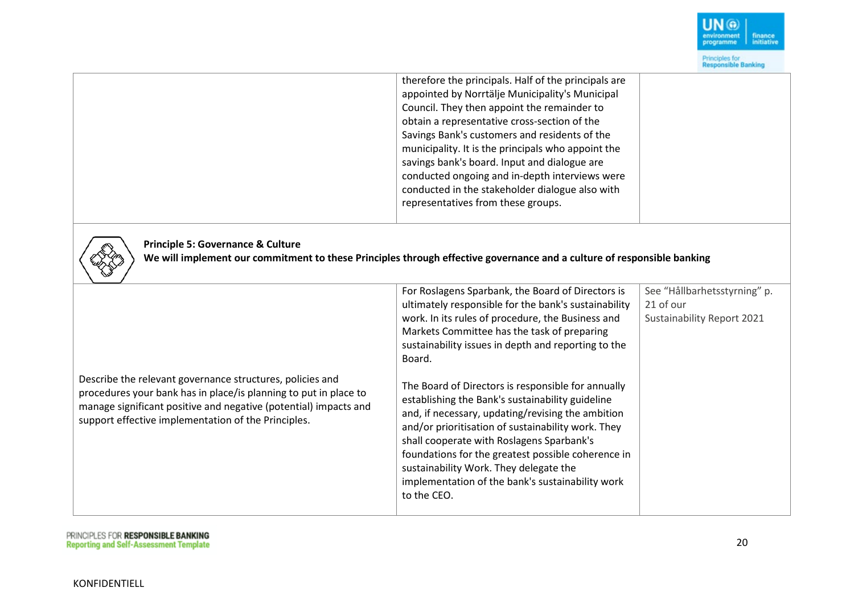

|                                                                                                                                                                                                                                                          | therefore the principals. Half of the principals are<br>appointed by Norrtälje Municipality's Municipal<br>Council. They then appoint the remainder to<br>obtain a representative cross-section of the<br>Savings Bank's customers and residents of the<br>municipality. It is the principals who appoint the<br>savings bank's board. Input and dialogue are<br>conducted ongoing and in-depth interviews were<br>conducted in the stakeholder dialogue also with<br>representatives from these groups. |                              |  |  |
|----------------------------------------------------------------------------------------------------------------------------------------------------------------------------------------------------------------------------------------------------------|----------------------------------------------------------------------------------------------------------------------------------------------------------------------------------------------------------------------------------------------------------------------------------------------------------------------------------------------------------------------------------------------------------------------------------------------------------------------------------------------------------|------------------------------|--|--|
| <b>Principle 5: Governance &amp; Culture</b><br>We will implement our commitment to these Principles through effective governance and a culture of responsible banking                                                                                   |                                                                                                                                                                                                                                                                                                                                                                                                                                                                                                          |                              |  |  |
|                                                                                                                                                                                                                                                          | For Roslagens Sparbank, the Board of Directors is                                                                                                                                                                                                                                                                                                                                                                                                                                                        | See "Hållbarhetsstyrning" p. |  |  |
|                                                                                                                                                                                                                                                          | ultimately responsible for the bank's sustainability                                                                                                                                                                                                                                                                                                                                                                                                                                                     | 21 of our                    |  |  |
|                                                                                                                                                                                                                                                          | work. In its rules of procedure, the Business and                                                                                                                                                                                                                                                                                                                                                                                                                                                        | Sustainability Report 2021   |  |  |
|                                                                                                                                                                                                                                                          | Markets Committee has the task of preparing                                                                                                                                                                                                                                                                                                                                                                                                                                                              |                              |  |  |
|                                                                                                                                                                                                                                                          | sustainability issues in depth and reporting to the<br>Board.                                                                                                                                                                                                                                                                                                                                                                                                                                            |                              |  |  |
| Describe the relevant governance structures, policies and<br>procedures your bank has in place/is planning to put in place to<br>manage significant positive and negative (potential) impacts and<br>support effective implementation of the Principles. | The Board of Directors is responsible for annually<br>establishing the Bank's sustainability guideline<br>and, if necessary, updating/revising the ambition<br>and/or prioritisation of sustainability work. They<br>shall cooperate with Roslagens Sparbank's<br>foundations for the greatest possible coherence in<br>sustainability Work. They delegate the<br>implementation of the bank's sustainability work<br>to the CEO.                                                                        |                              |  |  |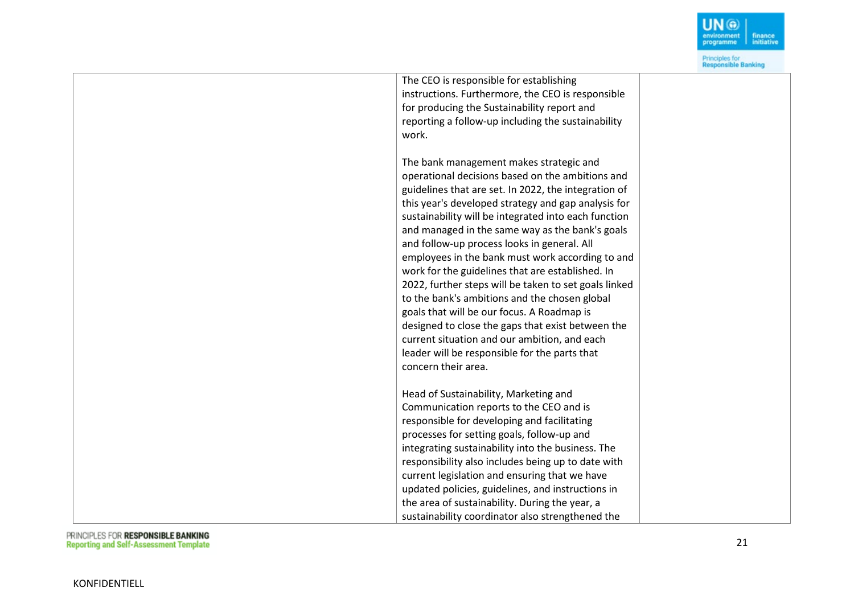

| The CEO is responsible for establishing               |  |
|-------------------------------------------------------|--|
| instructions. Furthermore, the CEO is responsible     |  |
| for producing the Sustainability report and           |  |
| reporting a follow-up including the sustainability    |  |
| work.                                                 |  |
|                                                       |  |
| The bank management makes strategic and               |  |
| operational decisions based on the ambitions and      |  |
| guidelines that are set. In 2022, the integration of  |  |
| this year's developed strategy and gap analysis for   |  |
| sustainability will be integrated into each function  |  |
| and managed in the same way as the bank's goals       |  |
| and follow-up process looks in general. All           |  |
| employees in the bank must work according to and      |  |
| work for the guidelines that are established. In      |  |
| 2022, further steps will be taken to set goals linked |  |
| to the bank's ambitions and the chosen global         |  |
| goals that will be our focus. A Roadmap is            |  |
| designed to close the gaps that exist between the     |  |
| current situation and our ambition, and each          |  |
| leader will be responsible for the parts that         |  |
| concern their area.                                   |  |
|                                                       |  |
| Head of Sustainability, Marketing and                 |  |
| Communication reports to the CEO and is               |  |
| responsible for developing and facilitating           |  |
| processes for setting goals, follow-up and            |  |
| integrating sustainability into the business. The     |  |
| responsibility also includes being up to date with    |  |
| current legislation and ensuring that we have         |  |
| updated policies, guidelines, and instructions in     |  |
| the area of sustainability. During the year, a        |  |
| sustainability coordinator also strengthened the      |  |
|                                                       |  |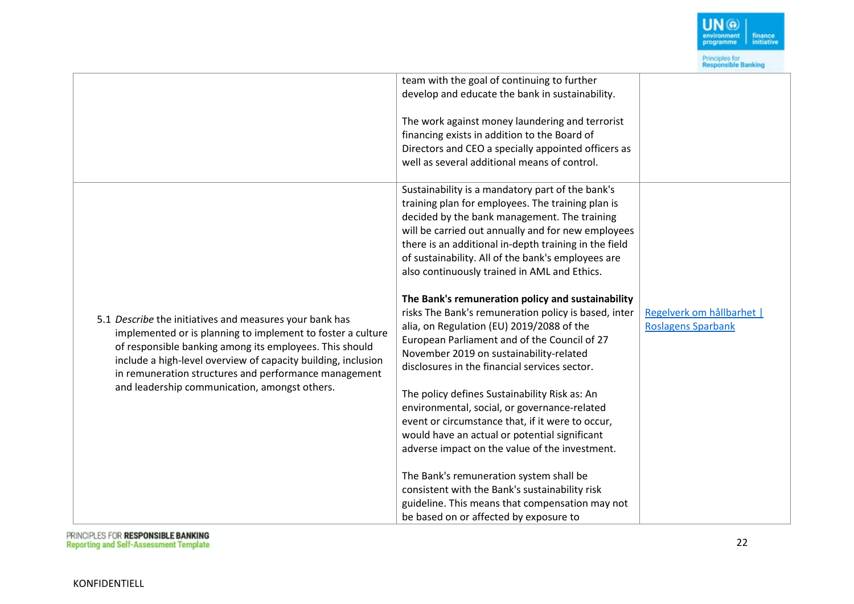

|                                                                                                                                                                                                                                                                                                                                                              | team with the goal of continuing to further<br>develop and educate the bank in sustainability.                                                                                                                                                                                                                                                                                                                                                                                                                                                                                                                                                                                                                                                                                                                                                                                                                                                                                                                                                                                           |                                                        |
|--------------------------------------------------------------------------------------------------------------------------------------------------------------------------------------------------------------------------------------------------------------------------------------------------------------------------------------------------------------|------------------------------------------------------------------------------------------------------------------------------------------------------------------------------------------------------------------------------------------------------------------------------------------------------------------------------------------------------------------------------------------------------------------------------------------------------------------------------------------------------------------------------------------------------------------------------------------------------------------------------------------------------------------------------------------------------------------------------------------------------------------------------------------------------------------------------------------------------------------------------------------------------------------------------------------------------------------------------------------------------------------------------------------------------------------------------------------|--------------------------------------------------------|
|                                                                                                                                                                                                                                                                                                                                                              | The work against money laundering and terrorist<br>financing exists in addition to the Board of<br>Directors and CEO a specially appointed officers as<br>well as several additional means of control.                                                                                                                                                                                                                                                                                                                                                                                                                                                                                                                                                                                                                                                                                                                                                                                                                                                                                   |                                                        |
| 5.1 Describe the initiatives and measures your bank has<br>implemented or is planning to implement to foster a culture<br>of responsible banking among its employees. This should<br>include a high-level overview of capacity building, inclusion<br>in remuneration structures and performance management<br>and leadership communication, amongst others. | Sustainability is a mandatory part of the bank's<br>training plan for employees. The training plan is<br>decided by the bank management. The training<br>will be carried out annually and for new employees<br>there is an additional in-depth training in the field<br>of sustainability. All of the bank's employees are<br>also continuously trained in AML and Ethics.<br>The Bank's remuneration policy and sustainability<br>risks The Bank's remuneration policy is based, inter<br>alia, on Regulation (EU) 2019/2088 of the<br>European Parliament and of the Council of 27<br>November 2019 on sustainability-related<br>disclosures in the financial services sector.<br>The policy defines Sustainability Risk as: An<br>environmental, social, or governance-related<br>event or circumstance that, if it were to occur,<br>would have an actual or potential significant<br>adverse impact on the value of the investment.<br>The Bank's remuneration system shall be<br>consistent with the Bank's sustainability risk<br>guideline. This means that compensation may not | Regelverk om hållbarhet  <br><b>Roslagens Sparbank</b> |
|                                                                                                                                                                                                                                                                                                                                                              | be based on or affected by exposure to                                                                                                                                                                                                                                                                                                                                                                                                                                                                                                                                                                                                                                                                                                                                                                                                                                                                                                                                                                                                                                                   |                                                        |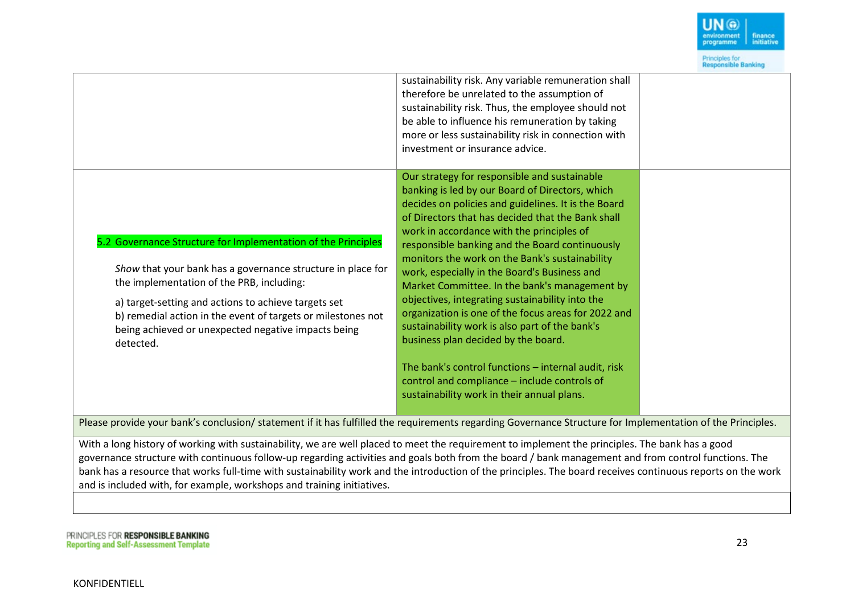

|                                                                                                                                                                                                                                                                                                                                                                       | sustainability risk. Any variable remuneration shall<br>therefore be unrelated to the assumption of<br>sustainability risk. Thus, the employee should not<br>be able to influence his remuneration by taking<br>more or less sustainability risk in connection with<br>investment or insurance advice.                                                                                                                                                                                                                                                                                                                                                                                                                                                                                                                |  |
|-----------------------------------------------------------------------------------------------------------------------------------------------------------------------------------------------------------------------------------------------------------------------------------------------------------------------------------------------------------------------|-----------------------------------------------------------------------------------------------------------------------------------------------------------------------------------------------------------------------------------------------------------------------------------------------------------------------------------------------------------------------------------------------------------------------------------------------------------------------------------------------------------------------------------------------------------------------------------------------------------------------------------------------------------------------------------------------------------------------------------------------------------------------------------------------------------------------|--|
| 5.2 Governance Structure for Implementation of the Principles<br>Show that your bank has a governance structure in place for<br>the implementation of the PRB, including:<br>a) target-setting and actions to achieve targets set<br>b) remedial action in the event of targets or milestones not<br>being achieved or unexpected negative impacts being<br>detected. | Our strategy for responsible and sustainable<br>banking is led by our Board of Directors, which<br>decides on policies and guidelines. It is the Board<br>of Directors that has decided that the Bank shall<br>work in accordance with the principles of<br>responsible banking and the Board continuously<br>monitors the work on the Bank's sustainability<br>work, especially in the Board's Business and<br>Market Committee. In the bank's management by<br>objectives, integrating sustainability into the<br>organization is one of the focus areas for 2022 and<br>sustainability work is also part of the bank's<br>business plan decided by the board.<br>The bank's control functions - internal audit, risk<br>control and compliance - include controls of<br>sustainability work in their annual plans. |  |
| Please provide your bank's conclusion/ statement if it has fulfilled the requirements regarding Governance Structure for Implementation of the Principles.                                                                                                                                                                                                            |                                                                                                                                                                                                                                                                                                                                                                                                                                                                                                                                                                                                                                                                                                                                                                                                                       |  |
| With a long history of working with sustainability, we are well placed to meet the requirement to implement the principles. The bank has a good                                                                                                                                                                                                                       |                                                                                                                                                                                                                                                                                                                                                                                                                                                                                                                                                                                                                                                                                                                                                                                                                       |  |

governance structure with continuous follow-up regarding activities and goals both from the board / bank management and from control functions. The bank has a resource that works full-time with sustainability work and the introduction of the principles. The board receives continuous reports on the work and is included with, for example, workshops and training initiatives.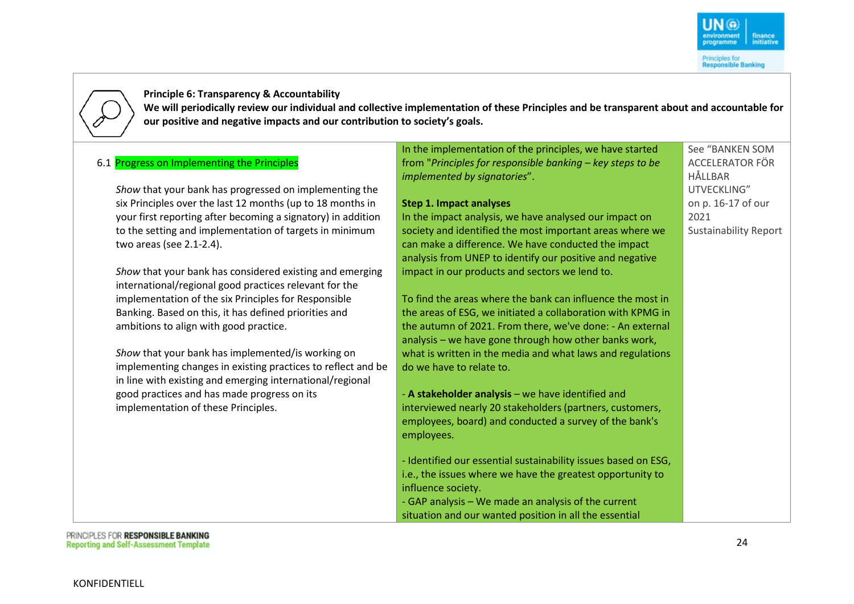See "BANKEN SOM ACCELERATOR FÖR

Sustainability Report

HÅLLBAR UTVECKLING" on p. 16-17 of our

2021

**Principle 6: Transparency & Accountability**

**We will periodically review our individual and collective implementation of these Principles and be transparent about and accountable for our positive and negative impacts and our contribution to society's goals.**

#### 6.1 Progress on Implementing the Principles

*Show* that your bank has progressed on implementing the six Principles over the last 12 months (up to 18 months in your first reporting after becoming a signatory) in addition to the setting and implementation of targets in minimum two areas (see 2.1-2.4).

*Show* that your bank has considered existing and emerging international/regional good practices relevant for the implementation of the six Principles for Responsible Banking. Based on this, it has defined priorities and ambitions to align with good practice.

*Show* that your bank has implemented/is working on implementing changes in existing practices to reflect and be in line with existing and emerging international/regional good practices and has made progress on its implementation of these Principles.

In the implementation of the principles, we have started from "*Principles for responsible banking – key steps to be implemented by signatories*".

#### **Step 1. Impact analyses**

In the impact analysis, we have analysed our impact on society and identified the most important areas where we can make a difference. We have conducted the impact analysis from UNEP to identify our positive and negative impact in our products and sectors we lend to.

To find the areas where the bank can influence the most in the areas of ESG, we initiated a collaboration with KPMG in the autumn of 2021. From there, we've done: - An external analysis – we have gone through how other banks work, what is written in the media and what laws and regulations do we have to relate to.

- **A stakeholder analysis** – we have identified and interviewed nearly 20 stakeholders (partners, customers, employees, board) and conducted a survey of the bank's employees.

- Identified our essential sustainability issues based on ESG, i.e., the issues where we have the greatest opportunity to influence society. - GAP analysis – We made an analysis of the current situation and our wanted position in all the essential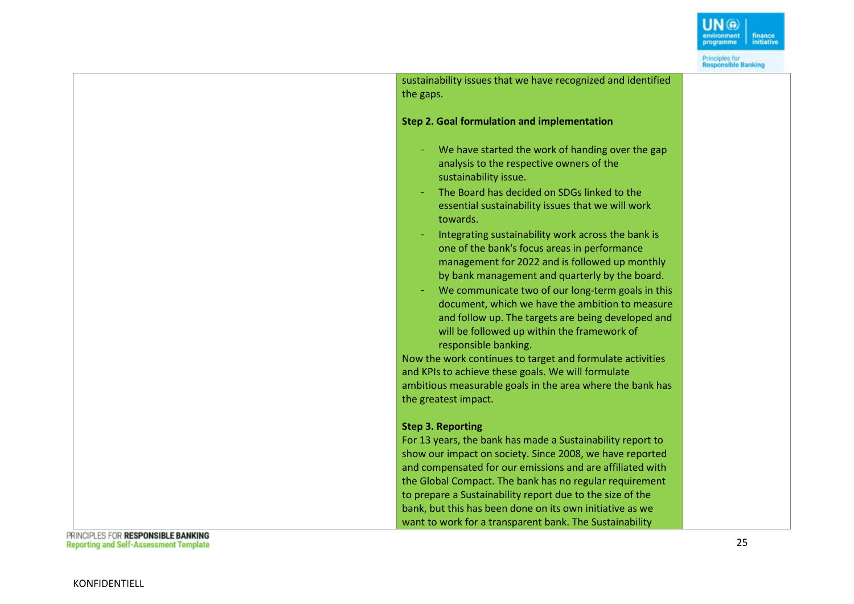

Principles for<br>Responsible Banking

sustainability issues that we have recognized and identified the gaps . **Ste p 2. Goal formulation and implementation** We have started the work of handing over the gap analysis to the respective owners of the sustainability issue. The Board has decided on SDGs linked to the essential sustainability issues that we will work towards. - Integrating sustainability work across the bank is one of the bank's focus areas in performance management for 2022 and is followed up monthly by bank management and quarterly by the board. - We communicate two of our long-term goals in this document, which we have the ambition to measure and follow up. The targets are being developed and will be followed up within the framework of responsible banking. Now the work continues to target and formulate activities and KPIs to achieve these goals. We will formulate ambitious measurable goals in the area where the bank has the greatest impact. **Ste p 3. Reporting** For 13 years, the bank has made a Sustainability report to show our impact on society. Since 2008, we have reported and compensated for our emissions and are affiliated with the Global Compact. The bank has no regular requirement to prepare a Sustainability report due to the size of the bank, but this has been done on its own initiative as we want to work for a transparent bank. The Sustainability